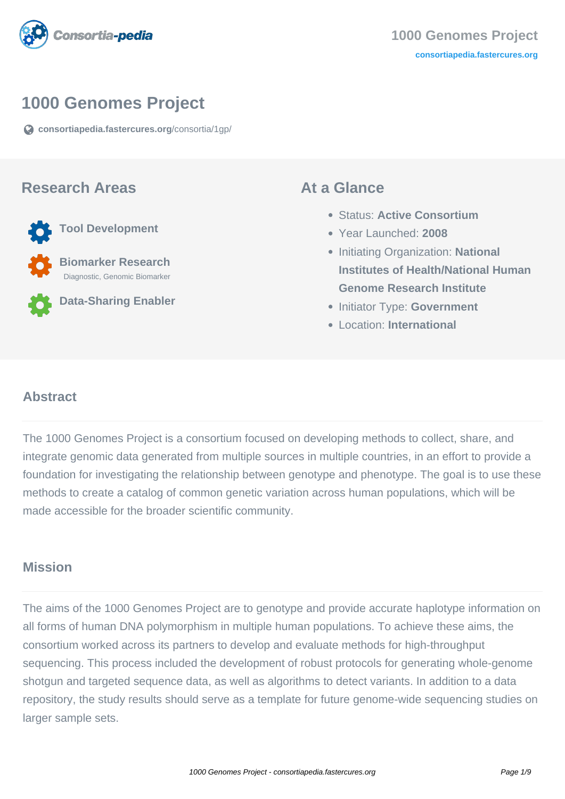

## **1000 Genomes Project**

**[consortiapedia.fastercures.org](https://consortiapedia.fastercures.org/consortia/1gp/)**[/consortia/1gp/](https://consortiapedia.fastercures.org/consortia/1gp/)

#### **Research Areas**

**Tool Development**

 **Biomarker Research** Diagnostic, Genomic Biomarker

**Data-Sharing Enabler**

#### **At a Glance**

- Status: **Active Consortium**
- Year Launched: **2008**
- **Initiating Organization: National Institutes of Health/National Human Genome Research Institute**
- **Initiator Type: Government**
- Location: **International**

#### $\overline{a}$ **Abstract**

The 1000 Genomes Project is a consortium focused on developing methods to collect, share, and integrate genomic data generated from multiple sources in multiple countries, in an effort to provide a foundation for investigating the relationship between genotype and phenotype. The goal is to use these methods to create a catalog of common genetic variation across human populations, which will be made accessible for the broader scientific community.

### **Mission**

The aims of the 1000 Genomes Project are to genotype and provide accurate haplotype information on all forms of human DNA polymorphism in multiple human populations. To achieve these aims, the consortium worked across its partners to develop and evaluate methods for high-throughput sequencing. This process included the development of robust protocols for generating whole-genome shotgun and targeted sequence data, as well as algorithms to detect variants. In addition to a data repository, the study results should serve as a template for future genome-wide sequencing studies on larger sample sets.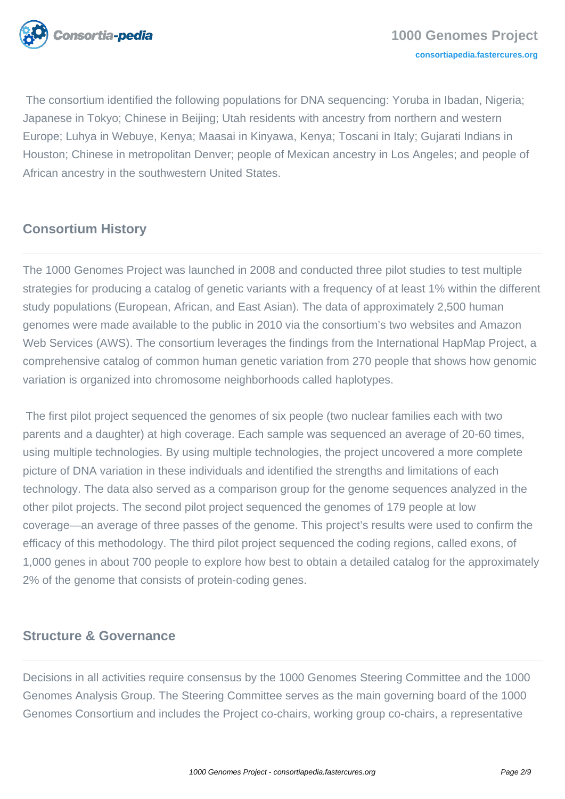

 The consortium identified the following populations for DNA sequencing: Yoruba in Ibadan, Nigeria; Japanese in Tokyo; Chinese in Beijing; Utah residents with ancestry from northern and western Europe; Luhya in Webuye, Kenya; Maasai in Kinyawa, Kenya; Toscani in Italy; Gujarati Indians in Houston; Chinese in metropolitan Denver; people of Mexican ancestry in Los Angeles; and people of African ancestry in the southwestern United States.

# **Consortium History**

The 1000 Genomes Project was launched in 2008 and conducted three pilot studies to test multiple strategies for producing a catalog of genetic variants with a frequency of at least 1% within the different study populations (European, African, and East Asian). The data of approximately 2,500 human genomes were made available to the public in 2010 via the consortium's two websites and Amazon Web Services (AWS). The consortium leverages the findings from the International HapMap Project, a comprehensive catalog of common human genetic variation from 270 people that shows how genomic variation is organized into chromosome neighborhoods called haplotypes.

 The first pilot project sequenced the genomes of six people (two nuclear families each with two parents and a daughter) at high coverage. Each sample was sequenced an average of 20-60 times, using multiple technologies. By using multiple technologies, the project uncovered a more complete picture of DNA variation in these individuals and identified the strengths and limitations of each technology. The data also served as a comparison group for the genome sequences analyzed in the other pilot projects. The second pilot project sequenced the genomes of 179 people at low coverage—an average of three passes of the genome. This project's results were used to confirm the efficacy of this methodology. The third pilot project sequenced the coding regions, called exons, of 1,000 genes in about 700 people to explore how best to obtain a detailed catalog for the approximately 2% of the genome that consists of protein-coding genes.

## **Structure & Governance**

Decisions in all activities require consensus by the 1000 Genomes Steering Committee and the 1000 Genomes Analysis Group. The Steering Committee serves as the main governing board of the 1000 Genomes Consortium and includes the Project co-chairs, working group co-chairs, a representative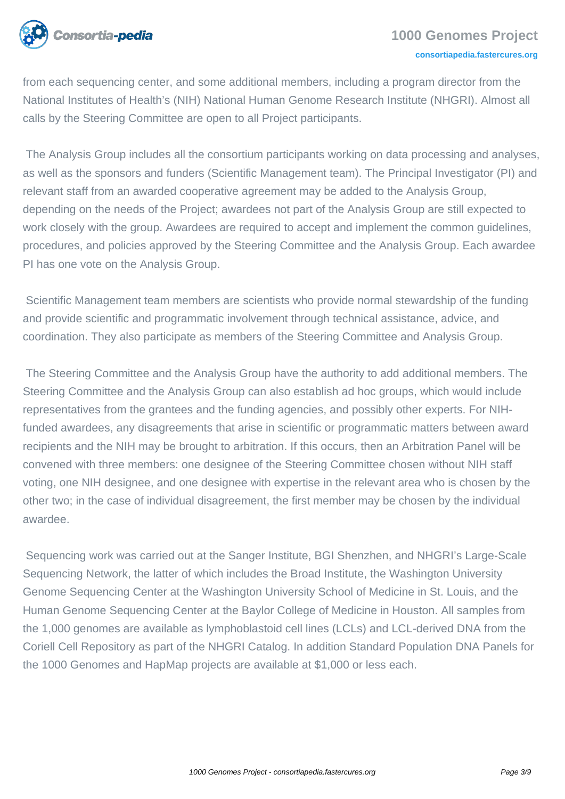

from each sequencing center, and some additional members, including a program director from the National Institutes of Health's (NIH) National Human Genome Research Institute (NHGRI). Almost all calls by the Steering Committee are open to all Project participants.

 The Analysis Group includes all the consortium participants working on data processing and analyses, as well as the sponsors and funders (Scientific Management team). The Principal Investigator (PI) and relevant staff from an awarded cooperative agreement may be added to the Analysis Group, depending on the needs of the Project; awardees not part of the Analysis Group are still expected to work closely with the group. Awardees are required to accept and implement the common guidelines, procedures, and policies approved by the Steering Committee and the Analysis Group. Each awardee PI has one vote on the Analysis Group.

 Scientific Management team members are scientists who provide normal stewardship of the funding and provide scientific and programmatic involvement through technical assistance, advice, and coordination. They also participate as members of the Steering Committee and Analysis Group.

 The Steering Committee and the Analysis Group have the authority to add additional members. The Steering Committee and the Analysis Group can also establish ad hoc groups, which would include representatives from the grantees and the funding agencies, and possibly other experts. For NIHfunded awardees, any disagreements that arise in scientific or programmatic matters between award recipients and the NIH may be brought to arbitration. If this occurs, then an Arbitration Panel will be convened with three members: one designee of the Steering Committee chosen without NIH staff voting, one NIH designee, and one designee with expertise in the relevant area who is chosen by the other two; in the case of individual disagreement, the first member may be chosen by the individual awardee.

 Sequencing work was carried out at the Sanger Institute, BGI Shenzhen, and NHGRI's Large-Scale Sequencing Network, the latter of which includes the Broad Institute, the Washington University Genome Sequencing Center at the Washington University School of Medicine in St. Louis, and the Human Genome Sequencing Center at the Baylor College of Medicine in Houston. All samples from the 1,000 genomes are available as lymphoblastoid cell lines (LCLs) and LCL-derived DNA from the Coriell Cell Repository as part of the NHGRI Catalog. In addition Standard Population DNA Panels for the 1000 Genomes and HapMap projects are available at \$1,000 or less each.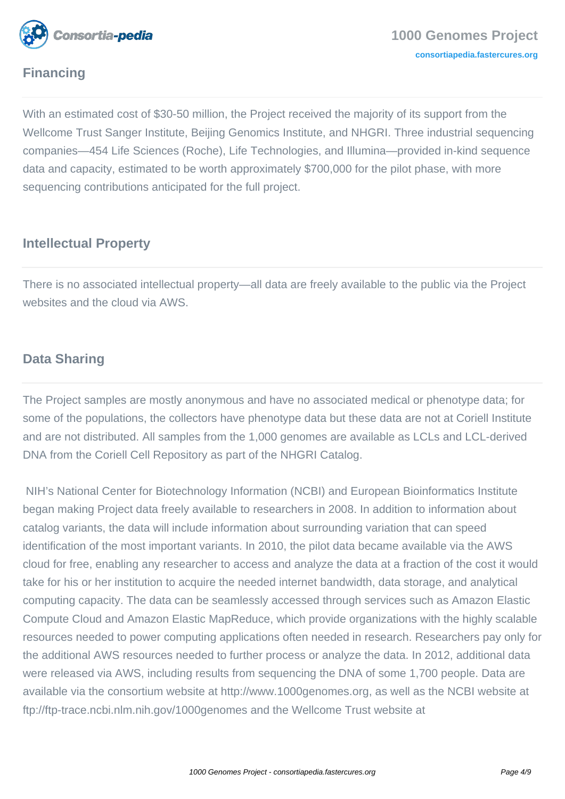

# **Financing**

With an estimated cost of \$30-50 million, the Project received the majority of its support from the Wellcome Trust Sanger Institute, Beijing Genomics Institute, and NHGRI. Three industrial sequencing companies—454 Life Sciences (Roche), Life Technologies, and Illumina—provided in-kind sequence data and capacity, estimated to be worth approximately \$700,000 for the pilot phase, with more sequencing contributions anticipated for the full project.

# **Intellectual Property**

There is no associated intellectual property—all data are freely available to the public via the Project websites and the cloud via AWS.

### **Data Sharing**

The Project samples are mostly anonymous and have no associated medical or phenotype data; for some of the populations, the collectors have phenotype data but these data are not at Coriell Institute and are not distributed. All samples from the 1,000 genomes are available as LCLs and LCL-derived DNA from the Coriell Cell Repository as part of the NHGRI Catalog.

 NIH's National Center for Biotechnology Information (NCBI) and European Bioinformatics Institute began making Project data freely available to researchers in 2008. In addition to information about catalog variants, the data will include information about surrounding variation that can speed identification of the most important variants. In 2010, the pilot data became available via the AWS cloud for free, enabling any researcher to access and analyze the data at a fraction of the cost it would take for his or her institution to acquire the needed internet bandwidth, data storage, and analytical computing capacity. The data can be seamlessly accessed through services such as Amazon Elastic Compute Cloud and Amazon Elastic MapReduce, which provide organizations with the highly scalable resources needed to power computing applications often needed in research. Researchers pay only for the additional AWS resources needed to further process or analyze the data. In 2012, additional data were released via AWS, including results from sequencing the DNA of some 1,700 people. Data are available via the consortium website at http://www.1000genomes.org, as well as the NCBI website at ftp://ftp-trace.ncbi.nlm.nih.gov/1000genomes and the Wellcome Trust website at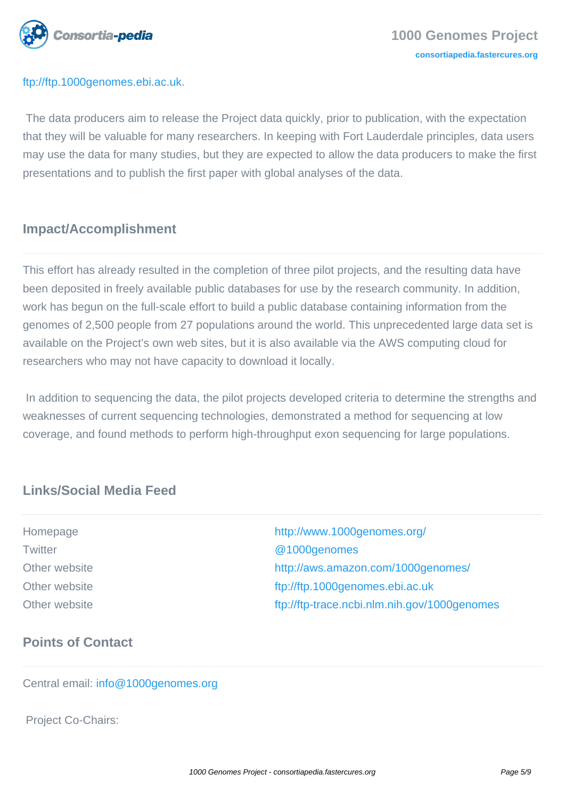

#### ftp://ftp.1000genomes.ebi.ac.uk.

 The data producers aim to release the Project data quickly, prior to publication, with the expectation that they will be valuable for many researchers. In keeping with Fort Lauderdale principles, data users may use the data for many studies, but they are expected to allow the data producers to make the first presentations and to publish the first paper with global analyses of the data.

# **Impact/Accomplishment**

This effort has already resulted in the completion of three pilot projects, and the resulting data have been deposited in freely available public databases for use by the research community. In addition, work has begun on the full-scale effort to build a public database containing information from the genomes of 2,500 people from 27 populations around the world. This unprecedented large data set is available on the Project's own web sites, but it is also available via the AWS computing cloud for researchers who may not have capacity to download it locally.

 In addition to sequencing the data, the pilot projects developed criteria to determine the strengths and weaknesses of current sequencing technologies, demonstrated a method for sequencing at low coverage, and found methods to perform high-throughput exon sequencing for large populations.

## **Links/Social Media Feed**

Homepage <http://www.1000genomes.org/> Twitter **COLLECTION COLLECTION COLLECTION COLLECTION COLLECTION COLLECTION COLLECTION COLLECTION** Other website <http://aws.amazon.com/1000genomes/> Other website <ftp://ftp.1000genomes.ebi.ac.uk> Other website <ftp://ftp-trace.ncbi.nlm.nih.gov/1000genomes>

# **Points of Contact**

Central email: [info@1000genomes.org](mailto:info@1000genomes.org)

Project Co-Chairs: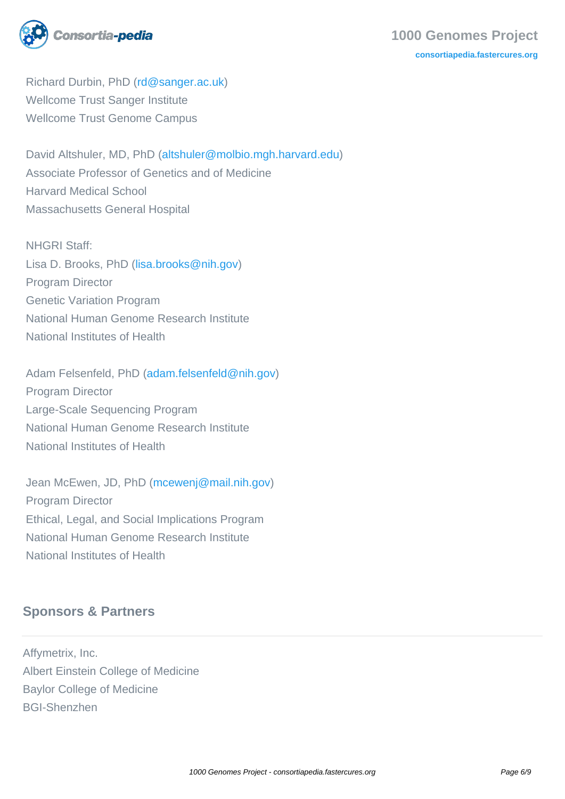

#### **1000 Genomes Project [consortiapedia.fastercures.org](http://consortiapedia.fastercures.org/)**

 Richard Durbin, PhD ([rd@sanger.ac.uk](mailto:rd@sanger.ac.uk)) Wellcome Trust Sanger Institute Wellcome Trust Genome Campus

 David Altshuler, MD, PhD ([altshuler@molbio.mgh.harvard.edu\)](mailto:altshuler@molbio.mgh.harvard.edu) Associate Professor of Genetics and of Medicine Harvard Medical School Massachusetts General Hospital

 NHGRI Staff: Lisa D. Brooks, PhD ([lisa.brooks@nih.gov\)](mailto:lisa.brooks@nih.gov) Program Director Genetic Variation Program National Human Genome Research Institute National Institutes of Health

 Adam Felsenfeld, PhD ([adam.felsenfeld@nih.gov](mailto:adam.felsenfeld@nih.gov)) Program Director Large-Scale Sequencing Program National Human Genome Research Institute National Institutes of Health

 Jean McEwen, JD, PhD [\(mcewenj@mail.nih.gov\)](mailto:mcewenj@mail.nih.gov) Program Director Ethical, Legal, and Social Implications Program National Human Genome Research Institute National Institutes of Health

# **Sponsors & Partners**

Affymetrix, Inc. Albert Einstein College of Medicine Baylor College of Medicine BGI-Shenzhen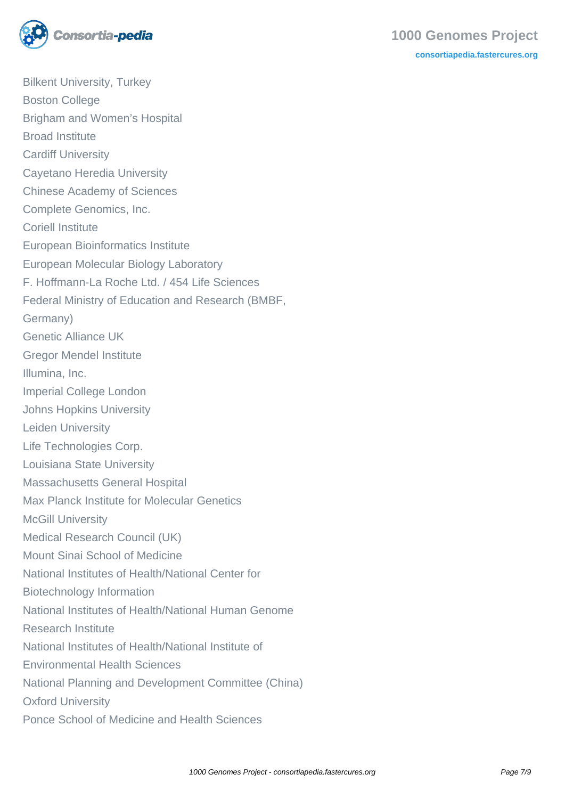

Bilkent University, Turkey Boston College Brigham and Women's Hospital Broad Institute Cardiff University Cayetano Heredia University Chinese Academy of Sciences Complete Genomics, Inc. Coriell Institute European Bioinformatics Institute European Molecular Biology Laboratory F. Hoffmann-La Roche Ltd. / 454 Life Sciences Federal Ministry of Education and Research (BMBF, Germany) Genetic Alliance UK Gregor Mendel Institute Illumina, Inc. Imperial College London Johns Hopkins University Leiden University Life Technologies Corp. Louisiana State University Massachusetts General Hospital Max Planck Institute for Molecular Genetics McGill University Medical Research Council (UK) Mount Sinai School of Medicine National Institutes of Health/National Center for Biotechnology Information National Institutes of Health/National Human Genome Research Institute National Institutes of Health/National Institute of Environmental Health Sciences National Planning and Development Committee (China) Oxford University Ponce School of Medicine and Health Sciences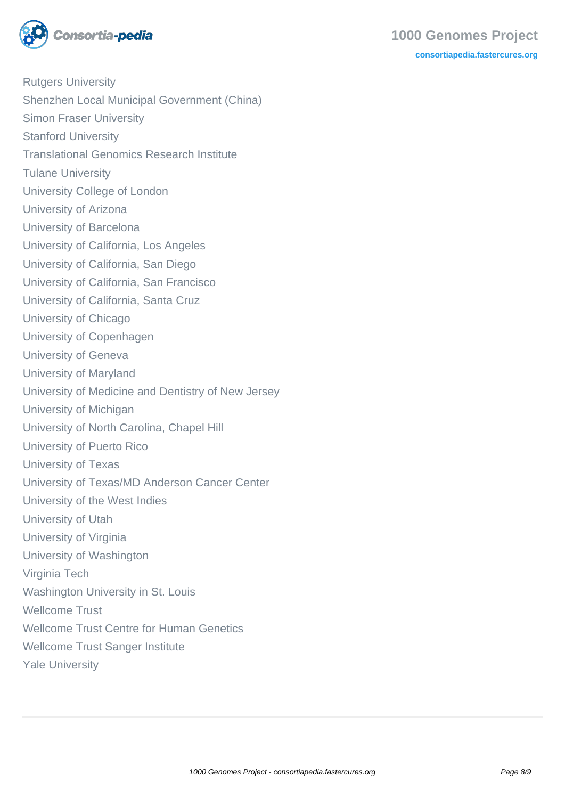

Rutgers University Shenzhen Local Municipal Government (China) Simon Fraser University Stanford University Translational Genomics Research Institute Tulane University University College of London University of Arizona University of Barcelona University of California, Los Angeles University of California, San Diego University of California, San Francisco University of California, Santa Cruz University of Chicago University of Copenhagen University of Geneva University of Maryland University of Medicine and Dentistry of New Jersey University of Michigan University of North Carolina, Chapel Hill University of Puerto Rico University of Texas University of Texas/MD Anderson Cancer Center University of the West Indies University of Utah University of Virginia University of Washington Virginia Tech Washington University in St. Louis Wellcome Trust Wellcome Trust Centre for Human Genetics Wellcome Trust Sanger Institute Yale University